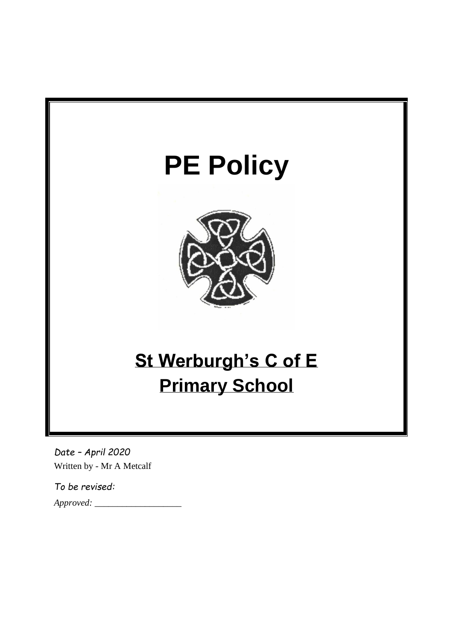

*Date – April 2020* Written by - Mr A Metcalf

*To be revised: Approved: \_\_\_\_\_\_\_\_\_\_\_\_\_\_\_\_\_\_\_*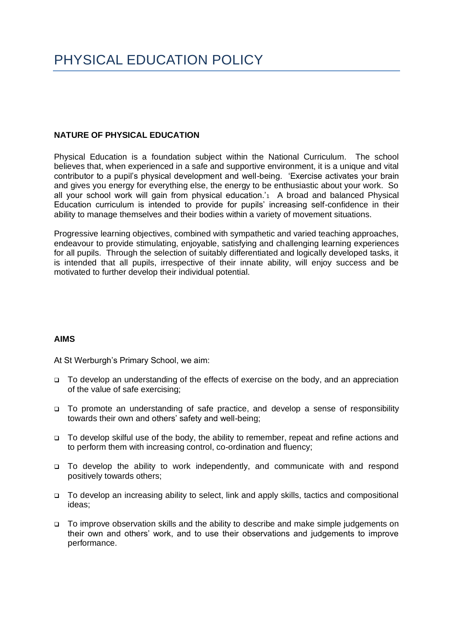## **NATURE OF PHYSICAL EDUCATION**

Physical Education is a foundation subject within the National Curriculum. The school believes that, when experienced in a safe and supportive environment, it is a unique and vital contributor to a pupil's physical development and well-being. 'Exercise activates your brain and gives you energy for everything else, the energy to be enthusiastic about your work. So all your school work will gain from physical education.<sup>'1</sup> A broad and balanced Physical Education curriculum is intended to provide for pupils' increasing self-confidence in their ability to manage themselves and their bodies within a variety of movement situations.

Progressive learning objectives, combined with sympathetic and varied teaching approaches, endeavour to provide stimulating, enjoyable, satisfying and challenging learning experiences for all pupils. Through the selection of suitably differentiated and logically developed tasks, it is intended that all pupils, irrespective of their innate ability, will enjoy success and be motivated to further develop their individual potential.

## **AIMS**

At St Werburgh's Primary School, we aim:

- ❑ To develop an understanding of the effects of exercise on the body, and an appreciation of the value of safe exercising;
- ❑ To promote an understanding of safe practice, and develop a sense of responsibility towards their own and others' safety and well-being;
- ❑ To develop skilful use of the body, the ability to remember, repeat and refine actions and to perform them with increasing control, co-ordination and fluency;
- ❑ To develop the ability to work independently, and communicate with and respond positively towards others;
- ❑ To develop an increasing ability to select, link and apply skills, tactics and compositional ideas;
- ❑ To improve observation skills and the ability to describe and make simple judgements on their own and others' work, and to use their observations and judgements to improve performance.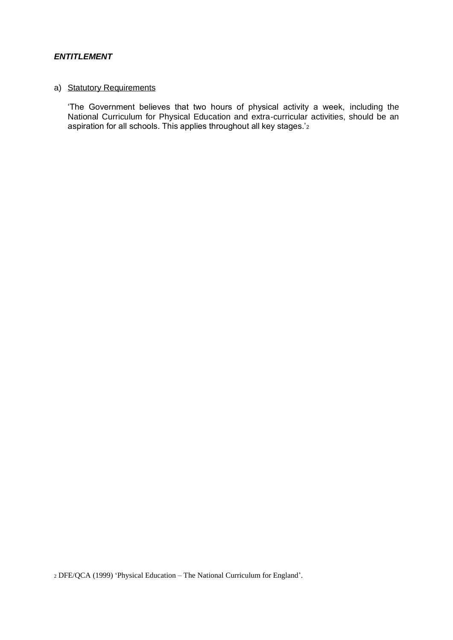# *ENTITLEMENT*

### a) Statutory Requirements

'The Government believes that two hours of physical activity a week, including the National Curriculum for Physical Education and extra-curricular activities, should be an aspiration for all schools. This applies throughout all key stages.'<sup>2</sup>

<sup>2</sup> DFE/QCA (1999) 'Physical Education – The National Curriculum for England'.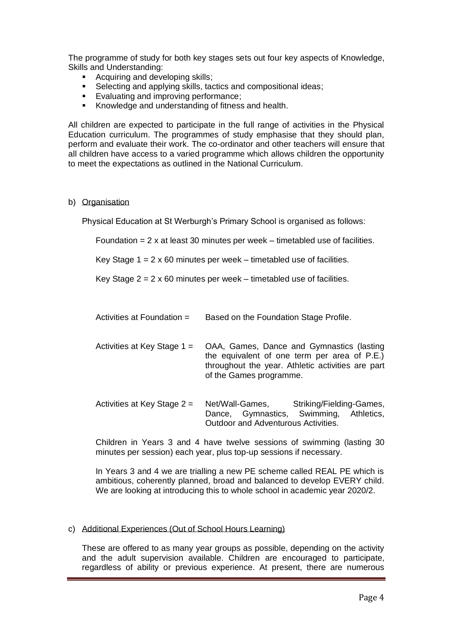The programme of study for both key stages sets out four key aspects of Knowledge, Skills and Understanding:

- Acquiring and developing skills;
- Selecting and applying skills, tactics and compositional ideas;
- Evaluating and improving performance;
- Knowledge and understanding of fitness and health.

All children are expected to participate in the full range of activities in the Physical Education curriculum. The programmes of study emphasise that they should plan, perform and evaluate their work. The co-ordinator and other teachers will ensure that all children have access to a varied programme which allows children the opportunity to meet the expectations as outlined in the National Curriculum.

#### b) Organisation

Physical Education at St Werburgh's Primary School is organised as follows:

Foundation  $= 2 \times$  at least 30 minutes per week – timetabled use of facilities.

Key Stage  $1 = 2 \times 60$  minutes per week – timetabled use of facilities.

Key Stage  $2 = 2 \times 60$  minutes per week – timetabled use of facilities.

| Activities at Foundation = | Based on the Foundation Stage Profile. |
|----------------------------|----------------------------------------|
|                            |                                        |

Activities at Key Stage 1 = OAA, Games, Dance and Gymnastics (lasting the equivalent of one term per area of P.E.) throughout the year. Athletic activities are part of the Games programme.

Activities at Key Stage 2 = Net/Wall-Games, Striking/Fielding-Games, Dance, Gymnastics, Swimming, Athletics, Outdoor and Adventurous Activities.

Children in Years 3 and 4 have twelve sessions of swimming (lasting 30 minutes per session) each year, plus top-up sessions if necessary.

In Years 3 and 4 we are trialling a new PE scheme called REAL PE which is ambitious, coherently planned, broad and balanced to develop EVERY child. We are looking at introducing this to whole school in academic year 2020/2.

#### c) Additional Experiences (Out of School Hours Learning)

These are offered to as many year groups as possible, depending on the activity and the adult supervision available. Children are encouraged to participate, regardless of ability or previous experience. At present, there are numerous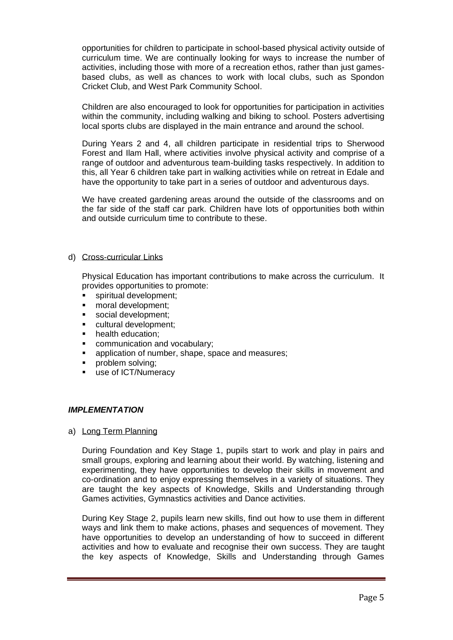opportunities for children to participate in school-based physical activity outside of curriculum time. We are continually looking for ways to increase the number of activities, including those with more of a recreation ethos, rather than just gamesbased clubs, as well as chances to work with local clubs, such as Spondon Cricket Club, and West Park Community School.

Children are also encouraged to look for opportunities for participation in activities within the community, including walking and biking to school. Posters advertising local sports clubs are displayed in the main entrance and around the school.

During Years 2 and 4, all children participate in residential trips to Sherwood Forest and Ilam Hall, where activities involve physical activity and comprise of a range of outdoor and adventurous team-building tasks respectively. In addition to this, all Year 6 children take part in walking activities while on retreat in Edale and have the opportunity to take part in a series of outdoor and adventurous days.

We have created gardening areas around the outside of the classrooms and on the far side of the staff car park. Children have lots of opportunities both within and outside curriculum time to contribute to these.

### d) Cross-curricular Links

Physical Education has important contributions to make across the curriculum. It provides opportunities to promote:

- spiritual development;
- moral development;
- social development:
- cultural development:
- **•** health education;
- communication and vocabulary;
- application of number, shape, space and measures;
- problem solving;
- use of ICT/Numeracy

#### *IMPLEMENTATION*

a) Long Term Planning

During Foundation and Key Stage 1, pupils start to work and play in pairs and small groups, exploring and learning about their world. By watching, listening and experimenting, they have opportunities to develop their skills in movement and co-ordination and to enjoy expressing themselves in a variety of situations. They are taught the key aspects of Knowledge, Skills and Understanding through Games activities, Gymnastics activities and Dance activities.

During Key Stage 2, pupils learn new skills, find out how to use them in different ways and link them to make actions, phases and sequences of movement. They have opportunities to develop an understanding of how to succeed in different activities and how to evaluate and recognise their own success. They are taught the key aspects of Knowledge, Skills and Understanding through Games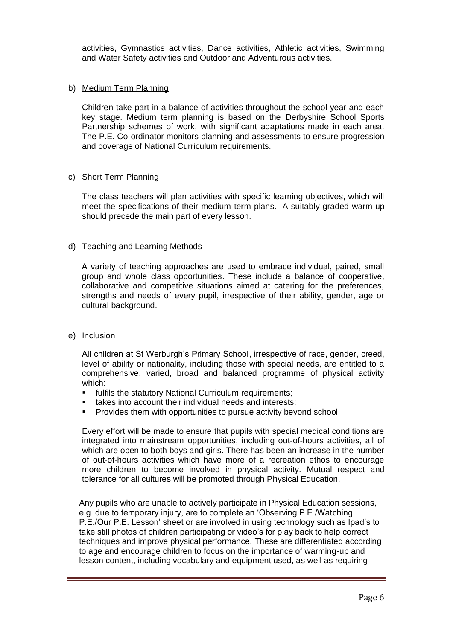activities, Gymnastics activities, Dance activities, Athletic activities, Swimming and Water Safety activities and Outdoor and Adventurous activities.

#### b) Medium Term Planning

Children take part in a balance of activities throughout the school year and each key stage. Medium term planning is based on the Derbyshire School Sports Partnership schemes of work, with significant adaptations made in each area. The P.E. Co-ordinator monitors planning and assessments to ensure progression and coverage of National Curriculum requirements.

### c) Short Term Planning

The class teachers will plan activities with specific learning objectives, which will meet the specifications of their medium term plans. A suitably graded warm-up should precede the main part of every lesson.

### d) Teaching and Learning Methods

A variety of teaching approaches are used to embrace individual, paired, small group and whole class opportunities. These include a balance of cooperative, collaborative and competitive situations aimed at catering for the preferences, strengths and needs of every pupil, irrespective of their ability, gender, age or cultural background.

#### e) Inclusion

All children at St Werburgh's Primary School, irrespective of race, gender, creed, level of ability or nationality, including those with special needs, are entitled to a comprehensive, varied, broad and balanced programme of physical activity which:

- **•** fulfils the statutory National Curriculum requirements;
- takes into account their individual needs and interests;
- Provides them with opportunities to pursue activity beyond school.

Every effort will be made to ensure that pupils with special medical conditions are integrated into mainstream opportunities, including out-of-hours activities, all of which are open to both boys and girls. There has been an increase in the number of out-of-hours activities which have more of a recreation ethos to encourage more children to become involved in physical activity. Mutual respect and tolerance for all cultures will be promoted through Physical Education.

Any pupils who are unable to actively participate in Physical Education sessions, e.g. due to temporary injury, are to complete an 'Observing P.E./Watching P.E./Our P.E. Lesson' sheet or are involved in using technology such as Ipad's to take still photos of children participating or video's for play back to help correct techniques and improve physical performance. These are differentiated according to age and encourage children to focus on the importance of warming-up and lesson content, including vocabulary and equipment used, as well as requiring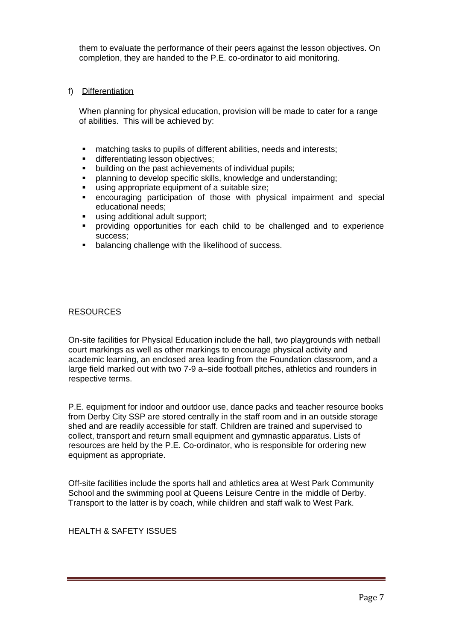them to evaluate the performance of their peers against the lesson objectives. On completion, they are handed to the P.E. co-ordinator to aid monitoring.

## f) Differentiation

When planning for physical education, provision will be made to cater for a range of abilities. This will be achieved by:

- matching tasks to pupils of different abilities, needs and interests;
- differentiating lesson objectives;
- building on the past achievements of individual pupils;
- planning to develop specific skills, knowledge and understanding;
- using appropriate equipment of a suitable size;
- encouraging participation of those with physical impairment and special educational needs;
- using additional adult support;
- providing opportunities for each child to be challenged and to experience success;
- balancing challenge with the likelihood of success.

### RESOURCES

On-site facilities for Physical Education include the hall, two playgrounds with netball court markings as well as other markings to encourage physical activity and academic learning, an enclosed area leading from the Foundation classroom, and a large field marked out with two 7-9 a–side football pitches, athletics and rounders in respective terms.

P.E. equipment for indoor and outdoor use, dance packs and teacher resource books from Derby City SSP are stored centrally in the staff room and in an outside storage shed and are readily accessible for staff. Children are trained and supervised to collect, transport and return small equipment and gymnastic apparatus. Lists of resources are held by the P.E. Co-ordinator, who is responsible for ordering new equipment as appropriate.

Off-site facilities include the sports hall and athletics area at West Park Community School and the swimming pool at Queens Leisure Centre in the middle of Derby. Transport to the latter is by coach, while children and staff walk to West Park.

#### HEALTH & SAFETY ISSUES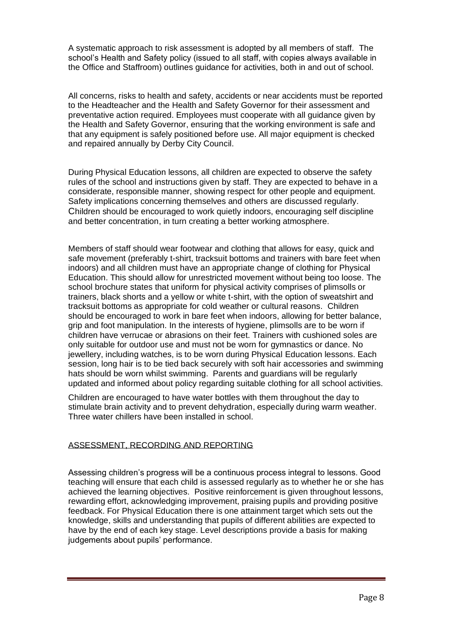A systematic approach to risk assessment is adopted by all members of staff. The school's Health and Safety policy (issued to all staff, with copies always available in the Office and Staffroom) outlines guidance for activities, both in and out of school.

All concerns, risks to health and safety, accidents or near accidents must be reported to the Headteacher and the Health and Safety Governor for their assessment and preventative action required. Employees must cooperate with all guidance given by the Health and Safety Governor, ensuring that the working environment is safe and that any equipment is safely positioned before use. All major equipment is checked and repaired annually by Derby City Council.

During Physical Education lessons, all children are expected to observe the safety rules of the school and instructions given by staff. They are expected to behave in a considerate, responsible manner, showing respect for other people and equipment. Safety implications concerning themselves and others are discussed regularly. Children should be encouraged to work quietly indoors, encouraging self discipline and better concentration, in turn creating a better working atmosphere.

Members of staff should wear footwear and clothing that allows for easy, quick and safe movement (preferably t-shirt, tracksuit bottoms and trainers with bare feet when indoors) and all children must have an appropriate change of clothing for Physical Education. This should allow for unrestricted movement without being too loose. The school brochure states that uniform for physical activity comprises of plimsolls or trainers, black shorts and a yellow or white t-shirt, with the option of sweatshirt and tracksuit bottoms as appropriate for cold weather or cultural reasons. Children should be encouraged to work in bare feet when indoors, allowing for better balance, grip and foot manipulation. In the interests of hygiene, plimsolls are to be worn if children have verrucae or abrasions on their feet. Trainers with cushioned soles are only suitable for outdoor use and must not be worn for gymnastics or dance. No jewellery, including watches, is to be worn during Physical Education lessons. Each session, long hair is to be tied back securely with soft hair accessories and swimming hats should be worn whilst swimming. Parents and guardians will be regularly updated and informed about policy regarding suitable clothing for all school activities.

Children are encouraged to have water bottles with them throughout the day to stimulate brain activity and to prevent dehydration, especially during warm weather. Three water chillers have been installed in school.

# ASSESSMENT, RECORDING AND REPORTING

Assessing children's progress will be a continuous process integral to lessons. Good teaching will ensure that each child is assessed regularly as to whether he or she has achieved the learning objectives. Positive reinforcement is given throughout lessons, rewarding effort, acknowledging improvement, praising pupils and providing positive feedback. For Physical Education there is one attainment target which sets out the knowledge, skills and understanding that pupils of different abilities are expected to have by the end of each key stage. Level descriptions provide a basis for making judgements about pupils' performance.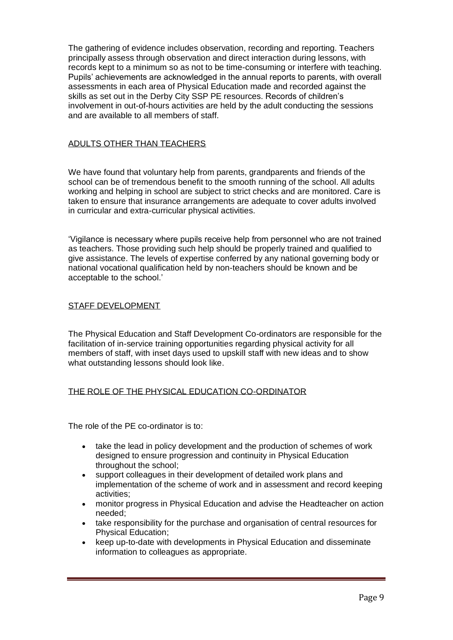The gathering of evidence includes observation, recording and reporting. Teachers principally assess through observation and direct interaction during lessons, with records kept to a minimum so as not to be time-consuming or interfere with teaching. Pupils' achievements are acknowledged in the annual reports to parents, with overall assessments in each area of Physical Education made and recorded against the skills as set out in the Derby City SSP PE resources. Records of children's involvement in out-of-hours activities are held by the adult conducting the sessions and are available to all members of staff.

## ADULTS OTHER THAN TEACHERS

We have found that voluntary help from parents, grandparents and friends of the school can be of tremendous benefit to the smooth running of the school. All adults working and helping in school are subject to strict checks and are monitored. Care is taken to ensure that insurance arrangements are adequate to cover adults involved in curricular and extra-curricular physical activities.

'Vigilance is necessary where pupils receive help from personnel who are not trained as teachers. Those providing such help should be properly trained and qualified to give assistance. The levels of expertise conferred by any national governing body or national vocational qualification held by non-teachers should be known and be acceptable to the school.'

## STAFF DEVELOPMENT

The Physical Education and Staff Development Co-ordinators are responsible for the facilitation of in-service training opportunities regarding physical activity for all members of staff, with inset days used to upskill staff with new ideas and to show what outstanding lessons should look like.

## THE ROLE OF THE PHYSICAL EDUCATION CO-ORDINATOR

The role of the PE co-ordinator is to:

- take the lead in policy development and the production of schemes of work designed to ensure progression and continuity in Physical Education throughout the school;
- support colleagues in their development of detailed work plans and implementation of the scheme of work and in assessment and record keeping activities;
- monitor progress in Physical Education and advise the Headteacher on action needed;
- take responsibility for the purchase and organisation of central resources for Physical Education;
- keep up-to-date with developments in Physical Education and disseminate information to colleagues as appropriate.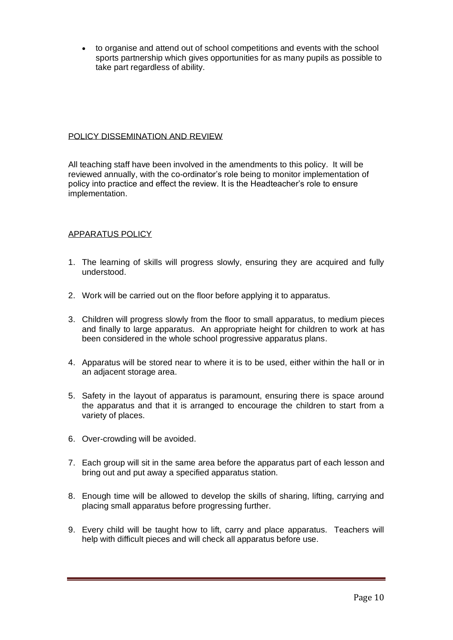• to organise and attend out of school competitions and events with the school sports partnership which gives opportunities for as many pupils as possible to take part regardless of ability.

## POLICY DISSEMINATION AND REVIEW

All teaching staff have been involved in the amendments to this policy. It will be reviewed annually, with the co-ordinator's role being to monitor implementation of policy into practice and effect the review. It is the Headteacher's role to ensure implementation.

## APPARATUS POLICY

- 1. The learning of skills will progress slowly, ensuring they are acquired and fully understood.
- 2. Work will be carried out on the floor before applying it to apparatus.
- 3. Children will progress slowly from the floor to small apparatus, to medium pieces and finally to large apparatus. An appropriate height for children to work at has been considered in the whole school progressive apparatus plans.
- 4. Apparatus will be stored near to where it is to be used, either within the hall or in an adjacent storage area.
- 5. Safety in the layout of apparatus is paramount, ensuring there is space around the apparatus and that it is arranged to encourage the children to start from a variety of places.
- 6. Over-crowding will be avoided.
- 7. Each group will sit in the same area before the apparatus part of each lesson and bring out and put away a specified apparatus station.
- 8. Enough time will be allowed to develop the skills of sharing, lifting, carrying and placing small apparatus before progressing further.
- 9. Every child will be taught how to lift, carry and place apparatus. Teachers will help with difficult pieces and will check all apparatus before use.